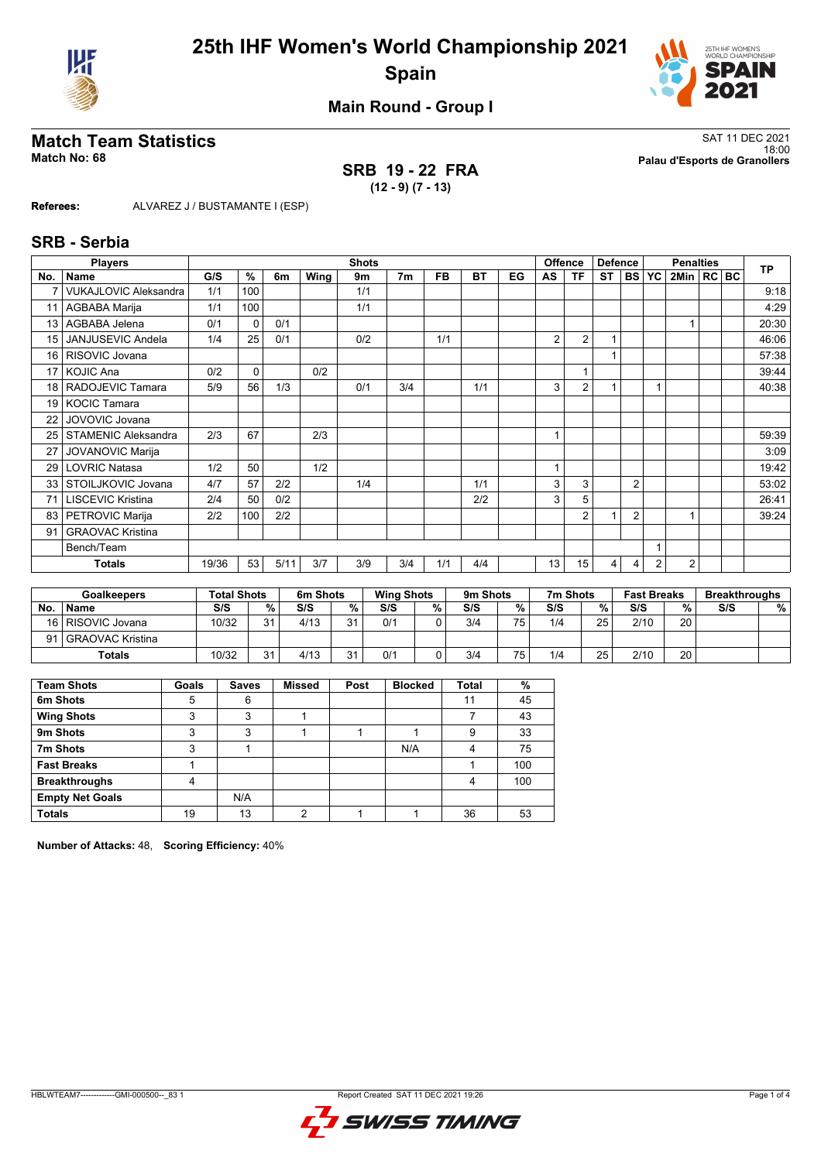



**Main Round - Group I**

## **Match Team Statistics** SAT 11 DEC 2021

# **SRB 19 - 22 FRA**

18:00 **Match No: 68 Palau d'Esports de Granollers**

**(12 - 9) (7 - 13)**

**Referees:** ALVAREZ J / BUSTAMANTE I (ESP)

#### **SRB - Serbia**

|                 | <b>Players</b>               | <b>Shots</b> |          |      |      |     |                |           |           |    |                | <b>Offence</b> | <b>Defence</b> |                |                | <b>Penalties</b> |  |  |           |
|-----------------|------------------------------|--------------|----------|------|------|-----|----------------|-----------|-----------|----|----------------|----------------|----------------|----------------|----------------|------------------|--|--|-----------|
| No.             | <b>Name</b>                  | G/S          | %        | 6m   | Wing | 9m  | 7 <sub>m</sub> | <b>FB</b> | <b>BT</b> | EG | AS             | <b>TF</b>      | <b>ST</b>      | <b>BS</b>      | YC             | 2Min   RC   BC   |  |  | <b>TP</b> |
|                 | <b>VUKAJLOVIC Aleksandra</b> | 1/1          | 100      |      |      | 1/1 |                |           |           |    |                |                |                |                |                |                  |  |  | 9:18      |
|                 | AGBABA Marija                | 1/1          | 100      |      |      | 1/1 |                |           |           |    |                |                |                |                |                |                  |  |  | 4:29      |
| 13              | AGBABA Jelena                | 0/1          | $\Omega$ | 0/1  |      |     |                |           |           |    |                |                |                |                |                |                  |  |  | 20:30     |
| 15              | <b>JANJUSEVIC Andela</b>     | 1/4          | 25       | 0/1  |      | 0/2 |                | 1/1       |           |    | 2              | $\overline{2}$ | 1              |                |                |                  |  |  | 46:06     |
| 16              | RISOVIC Jovana               |              |          |      |      |     |                |           |           |    |                |                | 1              |                |                |                  |  |  | 57:38     |
| 17              | <b>KOJIC Ana</b>             | 0/2          | 0        |      | 0/2  |     |                |           |           |    |                |                |                |                |                |                  |  |  | 39:44     |
| 18 <sup>1</sup> | RADOJEVIC Tamara             | 5/9          | 56       | 1/3  |      | 0/1 | 3/4            |           | 1/1       |    | 3              | $\overline{2}$ |                |                |                |                  |  |  | 40:38     |
| 19 <sup>1</sup> | <b>KOCIC Tamara</b>          |              |          |      |      |     |                |           |           |    |                |                |                |                |                |                  |  |  |           |
| 22              | JOVOVIC Jovana               |              |          |      |      |     |                |           |           |    |                |                |                |                |                |                  |  |  |           |
| 25              | <b>STAMENIC Aleksandra</b>   | 2/3          | 67       |      | 2/3  |     |                |           |           |    | $\overline{1}$ |                |                |                |                |                  |  |  | 59:39     |
| 27              | <b>JOVANOVIC Marija</b>      |              |          |      |      |     |                |           |           |    |                |                |                |                |                |                  |  |  | 3:09      |
| 29              | <b>LOVRIC Natasa</b>         | 1/2          | 50       |      | 1/2  |     |                |           |           |    |                |                |                |                |                |                  |  |  | 19:42     |
| 33              | STOILJKOVIC Jovana           | 4/7          | 57       | 2/2  |      | 1/4 |                |           | 1/1       |    | 3              | 3              |                | $\overline{2}$ |                |                  |  |  | 53:02     |
| 71              | <b>LISCEVIC Kristina</b>     | 2/4          | 50       | 0/2  |      |     |                |           | 2/2       |    | 3              | 5              |                |                |                |                  |  |  | 26:41     |
| 83              | PETROVIC Marija              | 2/2          | 100      | 2/2  |      |     |                |           |           |    |                | $\overline{2}$ |                | $\overline{2}$ |                |                  |  |  | 39:24     |
| 91              | <b>GRAOVAC Kristina</b>      |              |          |      |      |     |                |           |           |    |                |                |                |                |                |                  |  |  |           |
|                 | Bench/Team                   |              |          |      |      |     |                |           |           |    |                |                |                |                |                |                  |  |  |           |
|                 | <b>Totals</b>                | 19/36        | 53       | 5/11 | 3/7  | 3/9 | 3/4            | 1/1       | 4/4       |    | 13             | 15             | 4              | 4              | $\overline{2}$ | 2                |  |  |           |

| <b>Goalkeepers</b> |                     | <b>Total Shots</b> |    | 6m Shots |                | <b>Wing Shots</b> |    | 9m Shots |     | 7m Shots |    | <b>Fast Breaks</b> |    | <b>Breakthroughs</b> |   |
|--------------------|---------------------|--------------------|----|----------|----------------|-------------------|----|----------|-----|----------|----|--------------------|----|----------------------|---|
| No.                | <b>Name</b>         | S/S                | %  | S/S      | %.             | S/S               | %. | S/S      | %   | S/S      | %  | S/S                | %  | S/S                  | % |
|                    | 16   RISOVIC Jovana | 10/32              | 21 | 4/13     | 2 <sub>1</sub> | 0/1               |    | 3/4      | 75. | 1/4      | 25 | 2/10               | 20 |                      |   |
| 91                 | l GRAOVAC Kristina  |                    |    |          |                |                   |    |          |     |          |    |                    |    |                      |   |
|                    | <b>Totals</b>       | 10/32              | 21 | 4/13     | 2 <sub>1</sub> | 0/1               |    | 3/4      | 75. | 1/4      | 25 | 2/10               | 20 |                      |   |

| <b>Team Shots</b>      | Goals | <b>Saves</b> | Missed | Post | <b>Blocked</b> | <b>Total</b> | %   |
|------------------------|-------|--------------|--------|------|----------------|--------------|-----|
| 6m Shots               | 5     | 6            |        |      |                | 11           | 45  |
| <b>Wing Shots</b>      | 3     | 3            |        |      |                |              | 43  |
| 9m Shots               | 3     | 3            |        |      |                | 9            | 33  |
| 7m Shots               | 3     |              |        |      | N/A            | 4            | 75  |
| <b>Fast Breaks</b>     |       |              |        |      |                |              | 100 |
| <b>Breakthroughs</b>   | 4     |              |        |      |                | 4            | 100 |
| <b>Empty Net Goals</b> |       | N/A          |        |      |                |              |     |
| <b>Totals</b>          | 19    | 13           | ◠      |      |                | 36           | 53  |

**Number of Attacks:** 48, **Scoring Efficiency:** 40%

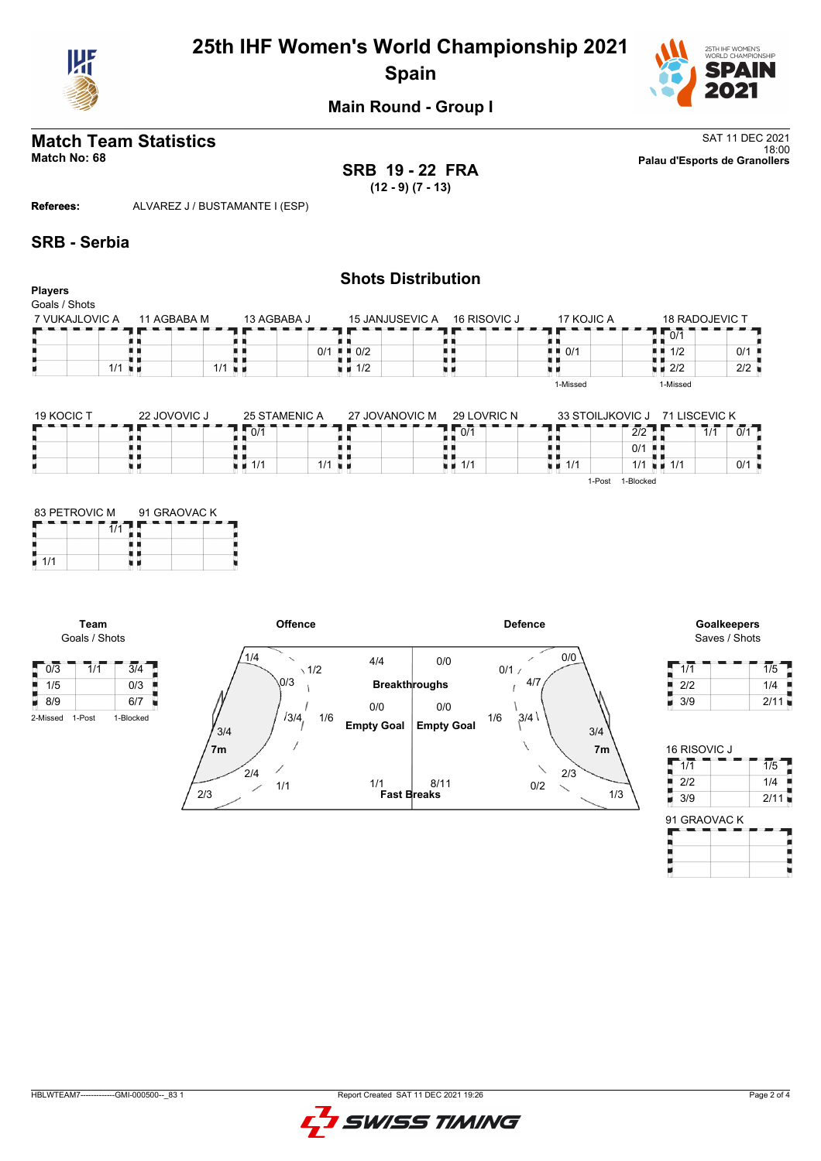

## **25th IHF Women's World Championship 2021 Spain**



**Main Round - Group I**

## **Match Team Statistics** SAT 11 DEC 2021

**SRB 19 - 22 FRA (12 - 9) (7 - 13)**

18:00 **Match No: 68 Palau d'Esports de Granollers**

**Referees:** ALVAREZ J / BUSTAMANTE I (ESP)

#### **SRB - Serbia**

|                          |             |                           | <b>Shots Distribution</b>         |              |            |                       |     |
|--------------------------|-------------|---------------------------|-----------------------------------|--------------|------------|-----------------------|-----|
| Players<br>Goals / Shots |             |                           |                                   |              |            |                       |     |
| 7 VUKAJLOVIC A           | 11 AGBABA M | 13 AGBABA J               | <b>15 JANJUSEVIC A</b>            | 16 RISOVIC J | 17 KOJIC A | <b>18 RADOJEVIC T</b> |     |
|                          |             |                           |                                   |              |            | 10/1                  |     |
|                          |             | 0/1                       | $\blacksquare$ $\blacksquare$ 0/2 |              | 0/1<br>. . | 1/2<br>. .            | 0/1 |
| $1/1$ $\blacksquare$     |             | $1/1$ u m                 | $\blacksquare$ 1/2                |              |            | $\blacksquare$ 2/2    | 2/2 |
|                          |             |                           |                                   |              | 1-Missed   | 1-Missed              |     |
|                          |             |                           |                                   |              |            |                       |     |
| $\cdots$                 |             | $- - - - - - - - - - - -$ |                                   |              |            |                       |     |

| 19 KOCIC 1 | 22 JOVOVIC J | 25 STAMENIC A | 27 JOVANOVIC M | 29 LOVRIC N       | 33 STOILJKOVIC J |                 | 71 LISCEVIC K |     |
|------------|--------------|---------------|----------------|-------------------|------------------|-----------------|---------------|-----|
|            |              | 0/1           |                | 0/1               |                  | רור<br>212      | 1/1           | 0/1 |
|            |              |               |                |                   |                  | 0/1             |               |     |
|            |              | 1/1<br>1/1    |                | $\neq$ $\neq$ 1/1 | 1/1              | $1/1$ $\pm$ 1/1 |               | 0/1 |
|            |              |               |                |                   | 1-Post           | 1-Blocked       |               |     |

| 83 PETROVIC M | 91 GRAOVAC K |  |  |  |  |  |  |
|---------------|--------------|--|--|--|--|--|--|
|               |              |  |  |  |  |  |  |
| 1/1           |              |  |  |  |  |  |  |

**Team** Goals / Shots



Saves / Shots

| 1/1 | 1/5  |
|-----|------|
| 2/2 | 1/4  |
| 3/9 | 2/11 |

| 16 RISOVIC J |      |
|--------------|------|
| 1/1          | 1/5  |
| 2/2          | 1/4  |
| 3/9          | 2/11 |
| 91 GRAOVAC K |      |

| 91 GRAOVAC K |  |  |  |  |  |  |  |  |  |  |  |
|--------------|--|--|--|--|--|--|--|--|--|--|--|
|              |  |  |  |  |  |  |  |  |  |  |  |
|              |  |  |  |  |  |  |  |  |  |  |  |
|              |  |  |  |  |  |  |  |  |  |  |  |
|              |  |  |  |  |  |  |  |  |  |  |  |

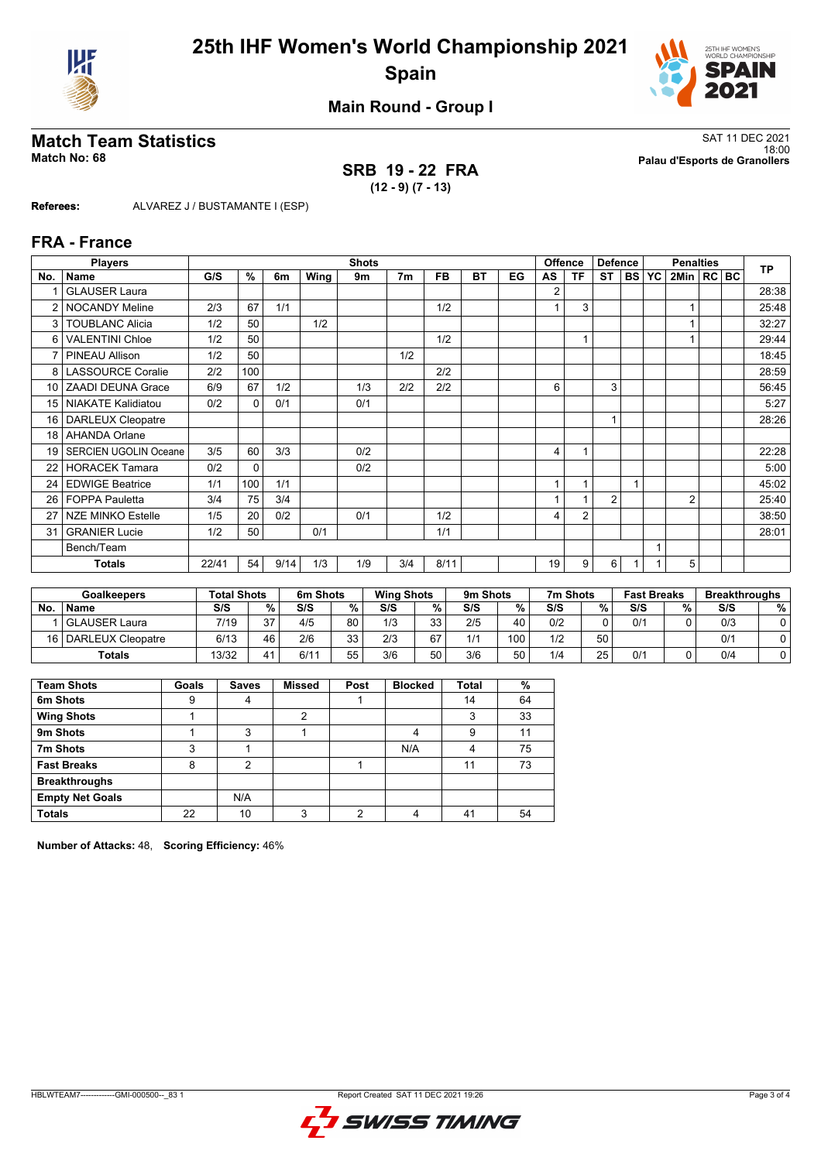



**Main Round - Group I**

## **Match Team Statistics** SAT 11 DEC 2021

**Referees:** ALVAREZ J / BUSTAMANTE I (ESP)

#### 18:00 **Match No: 68 Palau d'Esports de Granollers SRB 19 - 22 FRA**

**(12 - 9) (7 - 13)**

|                 | <b>Players</b>               |       |          |                |      | <b>Shots</b> |                |           |           |    | <b>Offence</b> |                | <b>Defence</b> |           |           | <b>Penalties</b> |  | <b>TP</b> |
|-----------------|------------------------------|-------|----------|----------------|------|--------------|----------------|-----------|-----------|----|----------------|----------------|----------------|-----------|-----------|------------------|--|-----------|
| No.             | Name                         | G/S   | %        | 6 <sub>m</sub> | Wing | 9m           | 7 <sub>m</sub> | <b>FB</b> | <b>BT</b> | EG | AS             | <b>TF</b>      | <b>ST</b>      | <b>BS</b> | <b>YC</b> | 2Min   RC BC     |  |           |
| 1               | <b>GLAUSER Laura</b>         |       |          |                |      |              |                |           |           |    | 2              |                |                |           |           |                  |  | 28:38     |
| $\overline{2}$  | <b>NOCANDY Meline</b>        | 2/3   | 67       | 1/1            |      |              |                | 1/2       |           |    |                | 3              |                |           |           |                  |  | 25:48     |
| 3               | <b>TOUBLANC Alicia</b>       | 1/2   | 50       |                | 1/2  |              |                |           |           |    |                |                |                |           |           |                  |  | 32:27     |
| 6               | <b>VALENTINI Chloe</b>       | 1/2   | 50       |                |      |              |                | 1/2       |           |    |                |                |                |           |           |                  |  | 29:44     |
| $\overline{7}$  | PINEAU Allison               | 1/2   | 50       |                |      |              | 1/2            |           |           |    |                |                |                |           |           |                  |  | 18:45     |
| 8               | <b>LASSOURCE Coralie</b>     | 2/2   | 100      |                |      |              |                | 2/2       |           |    |                |                |                |           |           |                  |  | 28:59     |
| 10 <sup>1</sup> | <b>ZAADI DEUNA Grace</b>     | 6/9   | 67       | 1/2            |      | 1/3          | 2/2            | 2/2       |           |    | 6              |                | 3              |           |           |                  |  | 56:45     |
| 15              | <b>NIAKATE Kalidiatou</b>    | 0/2   | 0        | 0/1            |      | 0/1          |                |           |           |    |                |                |                |           |           |                  |  | 5:27      |
| 16              | <b>DARLEUX Cleopatre</b>     |       |          |                |      |              |                |           |           |    |                |                | 1              |           |           |                  |  | 28:26     |
| 18 <sup>1</sup> | <b>AHANDA Orlane</b>         |       |          |                |      |              |                |           |           |    |                |                |                |           |           |                  |  |           |
| 19 <sup>1</sup> | <b>SERCIEN UGOLIN Oceane</b> | 3/5   | 60       | 3/3            |      | 0/2          |                |           |           |    | 4              |                |                |           |           |                  |  | 22:28     |
| 22              | <b>HORACEK Tamara</b>        | 0/2   | $\Omega$ |                |      | 0/2          |                |           |           |    |                |                |                |           |           |                  |  | 5:00      |
| 24              | <b>EDWIGE Beatrice</b>       | 1/1   | 100      | 1/1            |      |              |                |           |           |    |                |                |                |           |           |                  |  | 45:02     |
| 26              | <b>FOPPA Pauletta</b>        | 3/4   | 75       | 3/4            |      |              |                |           |           |    |                |                | $\overline{2}$ |           |           | $\overline{2}$   |  | 25:40     |
| 27              | <b>NZE MINKO Estelle</b>     | 1/5   | 20       | 0/2            |      | 0/1          |                | 1/2       |           |    | 4              | $\overline{2}$ |                |           |           |                  |  | 38:50     |
| 31              | <b>GRANIER Lucie</b>         | 1/2   | 50       |                | 0/1  |              |                | 1/1       |           |    |                |                |                |           |           |                  |  | 28:01     |
|                 | Bench/Team                   |       |          |                |      |              |                |           |           |    |                |                |                |           | 1         |                  |  |           |
|                 | <b>Totals</b>                | 22/41 | 54       | 9/14           | 1/3  | 1/9          | 3/4            | 8/11      |           |    | 19             | 9              | 6              |           |           | 5                |  |           |

| <b>Goalkeepers</b> |                        | <b>Total Shots</b> |                 | 6m Shots |          | <b>Wing Shots</b> |          | 9m Shots |                  | 7m Shots |    | <b>Fast Breaks</b> |   | <b>Breakthroughs</b> |   |
|--------------------|------------------------|--------------------|-----------------|----------|----------|-------------------|----------|----------|------------------|----------|----|--------------------|---|----------------------|---|
| No                 | <b>Name</b>            | S/S                | %               | S/S      | %        | S/S               | %        | S/S      | %                | S/S      | %  | S/S                | % | S/S                  | % |
|                    | l GLAUSER Laura        | 7/19               | 37              | 4/5      | 80       | 1/3               | วว<br>ບບ | 2/5      | 40               | 0/2      |    | 0/1                |   | 0/3                  |   |
|                    | 16   DARLEUX Cleopatre | 6/13               | 46              | 2/6      | ৭৭<br>ພຟ | 2/3               | 67       | 1/1      | 100 <sub>1</sub> | 1/2      | 50 |                    |   | 0/1                  |   |
|                    | <b>Totals</b>          | 13/32              | $\overline{11}$ | 6/11     | 55       | 3/6               | 50       | 3/6      | 50               | 1/4      | 25 | 0/2                |   | 0/4                  |   |

| <b>Team Shots</b>      | Goals | <b>Saves</b> | <b>Missed</b> | Post | <b>Blocked</b> | Total | %  |
|------------------------|-------|--------------|---------------|------|----------------|-------|----|
| 6m Shots               | 9     | 4            |               |      |                | 14    | 64 |
| <b>Wing Shots</b>      |       |              | າ             |      |                | 3     | 33 |
| 9m Shots               |       | 3            |               |      |                | 9     |    |
| 7m Shots               | 3     |              |               |      | N/A            | 4     | 75 |
| <b>Fast Breaks</b>     | 8     | っ            |               |      |                | 11    | 73 |
| <b>Breakthroughs</b>   |       |              |               |      |                |       |    |
| <b>Empty Net Goals</b> |       | N/A          |               |      |                |       |    |
| <b>Totals</b>          | 22    | 10           | ົ             | ◠    |                | 41    | 54 |

**Number of Attacks:** 48, **Scoring Efficiency:** 46%